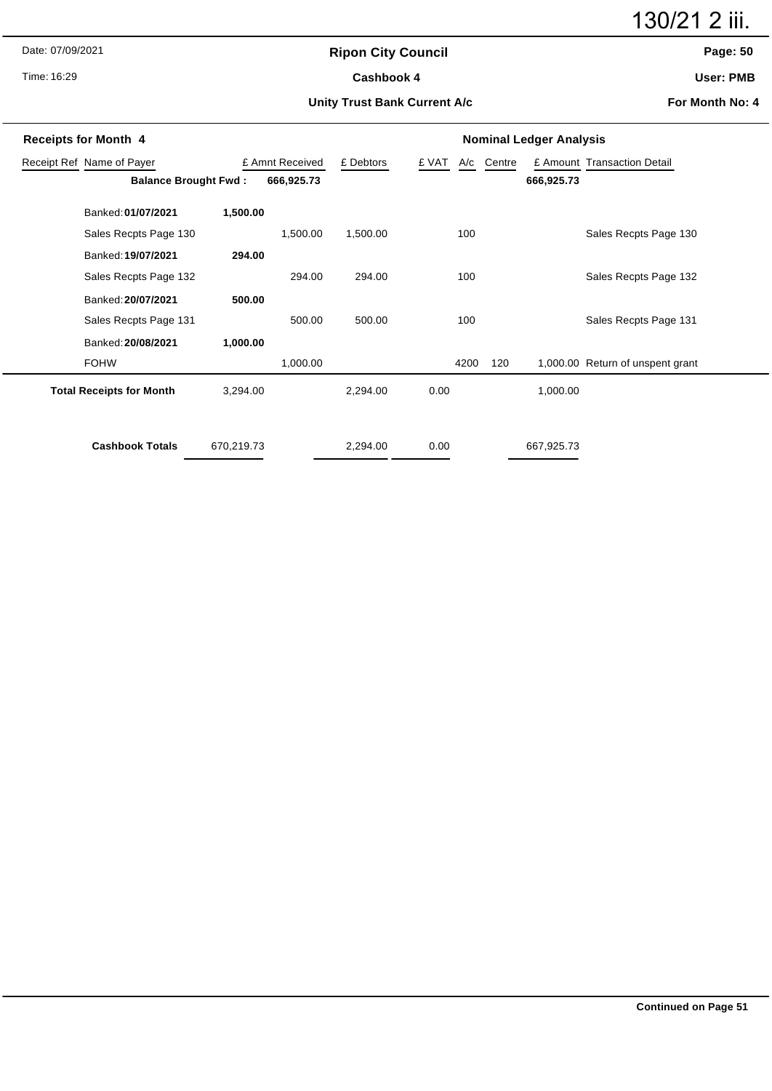Date: 07/09/2021

Time: 16:29

# **Ripon City Council** Cashbook 4

130/21 2 iii.

# **Page: 50**

**User: PMB**

#### **Unity Trust Bank Current A/c**

**For Month No: 4**

| <b>Receipts for Month 4</b>                  |                                 |            |            | <b>Nominal Ledger Analysis</b> |      |            |     |                             |                                  |  |
|----------------------------------------------|---------------------------------|------------|------------|--------------------------------|------|------------|-----|-----------------------------|----------------------------------|--|
| Receipt Ref Name of Payer<br>£ Amnt Received |                                 |            | £ Debtors  | £ VAT                          |      | A/c Centre |     | £ Amount Transaction Detail |                                  |  |
|                                              | <b>Balance Brought Fwd:</b>     |            | 666,925.73 |                                |      |            |     | 666,925.73                  |                                  |  |
|                                              | Banked: 01/07/2021              | 1,500.00   |            |                                |      |            |     |                             |                                  |  |
|                                              | Sales Recpts Page 130           |            | 1,500.00   | 1,500.00                       |      | 100        |     |                             | Sales Recpts Page 130            |  |
|                                              | Banked: 19/07/2021              | 294.00     |            |                                |      |            |     |                             |                                  |  |
|                                              | Sales Recpts Page 132           |            | 294.00     | 294.00                         |      | 100        |     |                             | Sales Recpts Page 132            |  |
|                                              | Banked: 20/07/2021              | 500.00     |            |                                |      |            |     |                             |                                  |  |
|                                              | Sales Recpts Page 131           |            | 500.00     | 500.00                         |      | 100        |     |                             | Sales Recpts Page 131            |  |
|                                              | Banked: 20/08/2021              | 1,000.00   |            |                                |      |            |     |                             |                                  |  |
|                                              | <b>FOHW</b>                     |            | 1,000.00   |                                |      | 4200       | 120 |                             | 1,000.00 Return of unspent grant |  |
|                                              | <b>Total Receipts for Month</b> | 3,294.00   |            | 2,294.00                       | 0.00 |            |     | 1,000.00                    |                                  |  |
|                                              | <b>Cashbook Totals</b>          | 670,219.73 |            | 2,294.00                       | 0.00 |            |     | 667,925.73                  |                                  |  |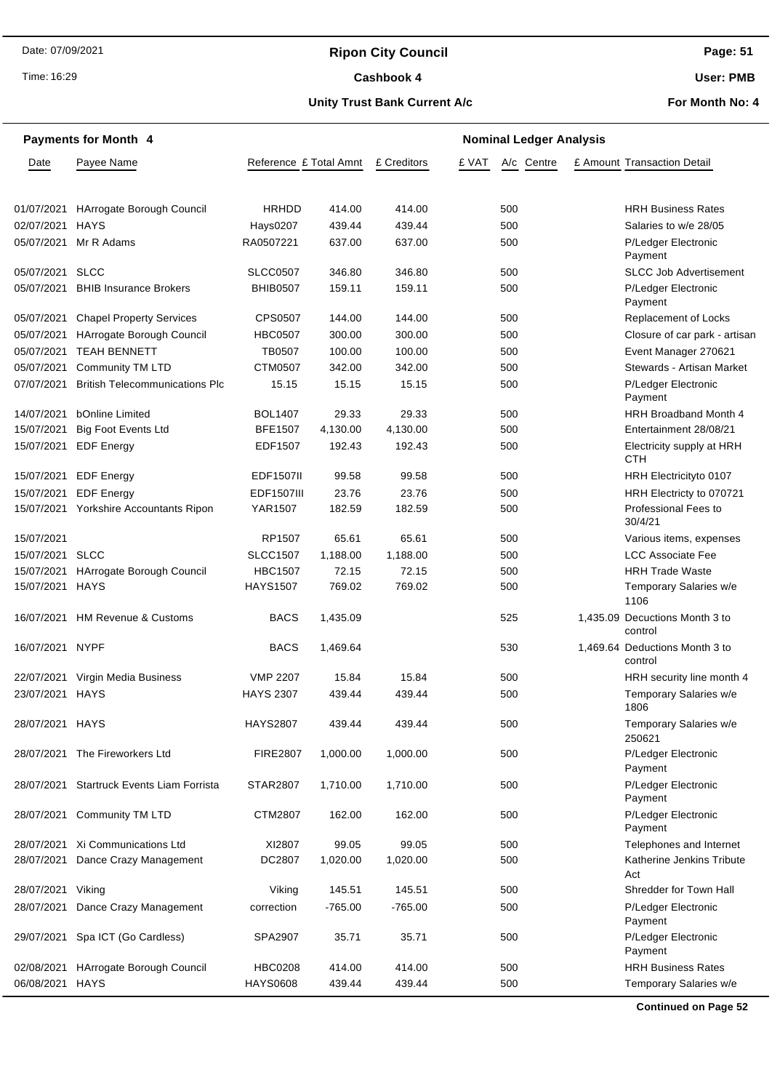# **Ripon City Council**

Time: 16:29

#### Cashbook 4

**Page: 51**

**User: PMB**

### **Unity Trust Bank Current A/c**

**For Month No: 4**

| <b>Payments for Month 4</b> |                                           |                        |           | <b>Nominal Ledger Analysis</b> |       |            |  |                                           |  |  |
|-----------------------------|-------------------------------------------|------------------------|-----------|--------------------------------|-------|------------|--|-------------------------------------------|--|--|
| Date                        | Payee Name                                | Reference £ Total Amnt |           | £ Creditors                    | £ VAT | A/c Centre |  | £ Amount Transaction Detail               |  |  |
|                             |                                           |                        |           |                                |       |            |  |                                           |  |  |
| 01/07/2021                  | HArrogate Borough Council                 | HRHDD                  | 414.00    | 414.00                         |       | 500        |  | <b>HRH Business Rates</b>                 |  |  |
| 02/07/2021                  | <b>HAYS</b>                               | Hays0207               | 439.44    | 439.44                         |       | 500        |  | Salaries to w/e 28/05                     |  |  |
| 05/07/2021                  | Mr R Adams                                | RA0507221              | 637.00    | 637.00                         |       | 500        |  | P/Ledger Electronic<br>Payment            |  |  |
| 05/07/2021                  | <b>SLCC</b>                               | <b>SLCC0507</b>        | 346.80    | 346.80                         |       | 500        |  | <b>SLCC Job Advertisement</b>             |  |  |
| 05/07/2021                  | <b>BHIB Insurance Brokers</b>             | <b>BHIB0507</b>        | 159.11    | 159.11                         |       | 500        |  | P/Ledger Electronic<br>Payment            |  |  |
| 05/07/2021                  | <b>Chapel Property Services</b>           | <b>CPS0507</b>         | 144.00    | 144.00                         |       | 500        |  | Replacement of Locks                      |  |  |
| 05/07/2021                  | HArrogate Borough Council                 | <b>HBC0507</b>         | 300.00    | 300.00                         |       | 500        |  | Closure of car park - artisan             |  |  |
| 05/07/2021                  | <b>TEAH BENNETT</b>                       | <b>TB0507</b>          | 100.00    | 100.00                         |       | 500        |  | Event Manager 270621                      |  |  |
| 05/07/2021                  | <b>Community TM LTD</b>                   | CTM0507                | 342.00    | 342.00                         |       | 500        |  | Stewards - Artisan Market                 |  |  |
| 07/07/2021                  | <b>British Telecommunications Plc</b>     | 15.15                  | 15.15     | 15.15                          |       | 500        |  | P/Ledger Electronic<br>Payment            |  |  |
| 14/07/2021                  | bOnline Limited                           | <b>BOL1407</b>         | 29.33     | 29.33                          |       | 500        |  | <b>HRH Broadband Month 4</b>              |  |  |
| 15/07/2021                  | <b>Big Foot Events Ltd</b>                | <b>BFE1507</b>         | 4,130.00  | 4,130.00                       |       | 500        |  | Entertainment 28/08/21                    |  |  |
|                             | 15/07/2021 EDF Energy                     | EDF1507                | 192.43    | 192.43                         |       | 500        |  | Electricity supply at HRH<br><b>CTH</b>   |  |  |
|                             | 15/07/2021 EDF Energy                     | <b>EDF1507II</b>       | 99.58     | 99.58                          |       | 500        |  | HRH Electricityto 0107                    |  |  |
| 15/07/2021                  | <b>EDF</b> Energy                         | <b>EDF1507III</b>      | 23.76     | 23.76                          |       | 500        |  | HRH Electricty to 070721                  |  |  |
|                             | 15/07/2021 Yorkshire Accountants Ripon    | YAR1507                | 182.59    | 182.59                         |       | 500        |  | <b>Professional Fees to</b><br>30/4/21    |  |  |
| 15/07/2021                  |                                           | RP1507                 | 65.61     | 65.61                          |       | 500        |  | Various items, expenses                   |  |  |
| 15/07/2021 SLCC             |                                           | <b>SLCC1507</b>        | 1,188.00  | 1,188.00                       |       | 500        |  | <b>LCC Associate Fee</b>                  |  |  |
|                             | 15/07/2021 HArrogate Borough Council      | <b>HBC1507</b>         | 72.15     | 72.15                          |       | 500        |  | <b>HRH Trade Waste</b>                    |  |  |
| 15/07/2021 HAYS             |                                           | <b>HAYS1507</b>        | 769.02    | 769.02                         |       | 500        |  | Temporary Salaries w/e<br>1106            |  |  |
|                             | 16/07/2021 HM Revenue & Customs           | <b>BACS</b>            | 1,435.09  |                                |       | 525        |  | 1,435.09 Decuctions Month 3 to<br>control |  |  |
| 16/07/2021 NYPF             |                                           | <b>BACS</b>            | 1,469.64  |                                |       | 530        |  | 1,469.64 Deductions Month 3 to<br>control |  |  |
| 22/07/2021                  | Virgin Media Business                     | <b>VMP 2207</b>        | 15.84     | 15.84                          |       | 500        |  | HRH security line month 4                 |  |  |
| 23/07/2021 HAYS             |                                           | <b>HAYS 2307</b>       | 439.44    | 439.44                         |       | 500        |  | Temporary Salaries w/e<br>1806            |  |  |
| 28/07/2021 HAYS             |                                           | <b>HAYS2807</b>        | 439.44    | 439.44                         |       | 500        |  | Temporary Salaries w/e<br>250621          |  |  |
|                             | 28/07/2021 The Fireworkers Ltd            | <b>FIRE2807</b>        | 1,000.00  | 1,000.00                       |       | 500        |  | P/Ledger Electronic<br>Payment            |  |  |
|                             | 28/07/2021 Startruck Events Liam Forrista | <b>STAR2807</b>        | 1,710.00  | 1,710.00                       |       | 500        |  | P/Ledger Electronic<br>Payment            |  |  |
|                             | 28/07/2021 Community TM LTD               | CTM2807                | 162.00    | 162.00                         |       | 500        |  | P/Ledger Electronic<br>Payment            |  |  |
|                             | 28/07/2021 Xi Communications Ltd          | XI2807                 | 99.05     | 99.05                          |       | 500        |  | Telephones and Internet                   |  |  |
| 28/07/2021                  | Dance Crazy Management                    | DC2807                 | 1,020.00  | 1,020.00                       |       | 500        |  | Katherine Jenkins Tribute<br>Act          |  |  |
| 28/07/2021 Viking           |                                           | Viking                 | 145.51    | 145.51                         |       | 500        |  | Shredder for Town Hall                    |  |  |
| 28/07/2021                  | Dance Crazy Management                    | correction             | $-765.00$ | $-765.00$                      |       | 500        |  | P/Ledger Electronic<br>Payment            |  |  |
|                             | 29/07/2021 Spa ICT (Go Cardless)          | SPA2907                | 35.71     | 35.71                          |       | 500        |  | P/Ledger Electronic<br>Payment            |  |  |
|                             | 02/08/2021 HArrogate Borough Council      | <b>HBC0208</b>         | 414.00    | 414.00                         |       | 500        |  | <b>HRH Business Rates</b>                 |  |  |
| 06/08/2021 HAYS             |                                           | <b>HAYS0608</b>        | 439.44    | 439.44                         |       | 500        |  | Temporary Salaries w/e                    |  |  |

**Continued on Page 52**